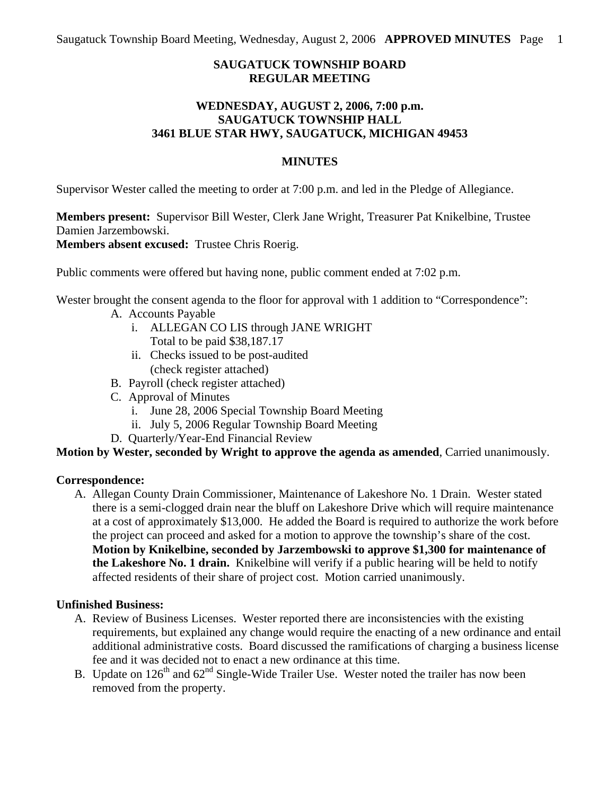# **SAUGATUCK TOWNSHIP BOARD REGULAR MEETING**

## **WEDNESDAY, AUGUST 2, 2006, 7:00 p.m. SAUGATUCK TOWNSHIP HALL 3461 BLUE STAR HWY, SAUGATUCK, MICHIGAN 49453**

### **MINUTES**

Supervisor Wester called the meeting to order at 7:00 p.m. and led in the Pledge of Allegiance.

**Members present:** Supervisor Bill Wester, Clerk Jane Wright, Treasurer Pat Knikelbine, Trustee Damien Jarzembowski.

**Members absent excused:** Trustee Chris Roerig.

Public comments were offered but having none, public comment ended at 7:02 p.m.

Wester brought the consent agenda to the floor for approval with 1 addition to "Correspondence":

- A. Accounts Payable
	- i. ALLEGAN CO LIS through JANE WRIGHT Total to be paid \$38,187.17
	- ii. Checks issued to be post-audited (check register attached)
- B. Payroll (check register attached)
- C. Approval of Minutes
	- i. June 28, 2006 Special Township Board Meeting
	- ii. July 5, 2006 Regular Township Board Meeting
- D. Quarterly/Year-End Financial Review

**Motion by Wester, seconded by Wright to approve the agenda as amended**, Carried unanimously.

### **Correspondence:**

A. Allegan County Drain Commissioner, Maintenance of Lakeshore No. 1 Drain. Wester stated there is a semi-clogged drain near the bluff on Lakeshore Drive which will require maintenance at a cost of approximately \$13,000. He added the Board is required to authorize the work before the project can proceed and asked for a motion to approve the township's share of the cost. **Motion by Knikelbine, seconded by Jarzembowski to approve \$1,300 for maintenance of the Lakeshore No. 1 drain.** Knikelbine will verify if a public hearing will be held to notify affected residents of their share of project cost. Motion carried unanimously.

### **Unfinished Business:**

- A. Review of Business Licenses. Wester reported there are inconsistencies with the existing requirements, but explained any change would require the enacting of a new ordinance and entail additional administrative costs. Board discussed the ramifications of charging a business license fee and it was decided not to enact a new ordinance at this time.
- B. Update on  $126<sup>th</sup>$  and  $62<sup>nd</sup>$  Single-Wide Trailer Use. Wester noted the trailer has now been removed from the property.